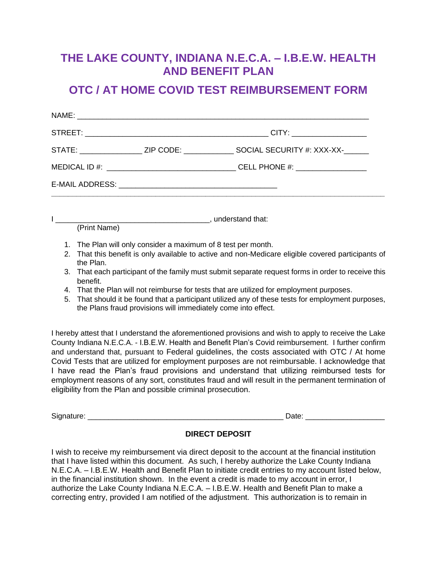## **THE LAKE COUNTY, INDIANA N.E.C.A. – I.B.E.W. HEALTH AND BENEFIT PLAN**

## **OTC / AT HOME COVID TEST REIMBURSEMENT FORM**

|  | STATE: _________________ZIP CODE: _______________SOCIAL SECURITY #: XXX-XX-_______ |
|--|------------------------------------------------------------------------------------|
|  |                                                                                    |
|  |                                                                                    |
|  |                                                                                    |

I consider the understand that: (Print Name)

- 1. The Plan will only consider a maximum of 8 test per month.
- 2. That this benefit is only available to active and non-Medicare eligible covered participants of the Plan.
- 3. That each participant of the family must submit separate request forms in order to receive this benefit.
- 4. That the Plan will not reimburse for tests that are utilized for employment purposes.
- 5. That should it be found that a participant utilized any of these tests for employment purposes, the Plans fraud provisions will immediately come into effect.

I hereby attest that I understand the aforementioned provisions and wish to apply to receive the Lake County Indiana N.E.C.A. - I.B.E.W. Health and Benefit Plan's Covid reimbursement. I further confirm and understand that, pursuant to Federal guidelines, the costs associated with OTC / At home Covid Tests that are utilized for employment purposes are not reimbursable. I acknowledge that I have read the Plan's fraud provisions and understand that utilizing reimbursed tests for employment reasons of any sort, constitutes fraud and will result in the permanent termination of eligibility from the Plan and possible criminal prosecution.

Signature: \_\_\_\_\_\_\_\_\_\_\_\_\_\_\_\_\_\_\_\_\_\_\_\_\_\_\_\_\_\_\_\_\_\_\_\_\_\_\_\_\_\_\_\_\_\_\_ Date: \_\_\_\_\_\_\_\_\_\_\_\_\_\_\_\_\_\_\_

## **DIRECT DEPOSIT**

I wish to receive my reimbursement via direct deposit to the account at the financial institution that I have listed within this document. As such, I hereby authorize the Lake County Indiana N.E.C.A. – I.B.E.W. Health and Benefit Plan to initiate credit entries to my account listed below, in the financial institution shown. In the event a credit is made to my account in error, I authorize the Lake County Indiana N.E.C.A. – I.B.E.W. Health and Benefit Plan to make a correcting entry, provided I am notified of the adjustment. This authorization is to remain in